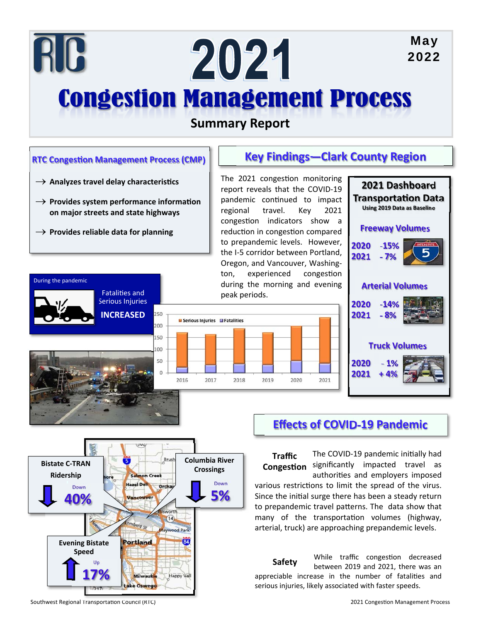# May RC 2024 2022 **Congestion Management Process**

## **Summary Report**

#### **Key Findings—Clark County Region RTC Congestion Management Process (CMP)** The 2021 congestion monitoring  $\rightarrow$  Analyzes travel delay characteristics **2021 Dashboard**  report reveals that the COVID‐19 **TransportaƟon Data** pandemic continued to impact  $\rightarrow$  Provides system performance information **Using 2019 Data as Baseline** regional travel. Key 2021 **on major streets and state highways**  congestion indicators show a **Freeway Volumes** reduction in congestion compared  $\rightarrow$  Provides reliable data for planning to prepandemic levels. However, **2020 ‐15%** the I‐5 corridor between Portland, **2021 ‐ 7%** Oregon, and Vancouver, Washing‐ ton, experienced congestion During the pandemic during the morning and evening **Arterial Volumes** FataliƟes and peak periods. Serious Injuries **2020 ‐14%** 250 **INCREASED 2021 ‐ 8% El Serious Injuries** El Fatalities 200 150 **Truck Volumes** 100 50 **2020 ‐ 1%**  $\theta$ **2021** 2016 2017 2020 2021 2018 2019 **Effects of COVID‐19 Pandemic**  The COVID-19 pandemic initially had Brusl

significantly impacted travel as authorities and employers imposed various restrictions to limit the spread of the virus. Since the initial surge there has been a steady return to prepandemic travel patterns. The data show that many of the transportation volumes (highway, arterial, truck) are approaching prepandemic levels. **Traffic CongesƟon Columbia River Crossings**  Down **5%** 

> While traffic congestion decreased between 2019 and 2021, there was an appreciable increase in the number of fatalities and serious injuries, likely associated with faster speeds. **Safety**

Southwest Regional Transportation Council (RTC) **2021** Congestion Management Process

Up **17%**  azel Dell

**Portland** 

e Oswego

 $\sqrt{14}$ 

84

Happy Vall

**Bistate C‐TRAN Ridership** 

> Down **40%**

**Evening Bistate Speed**